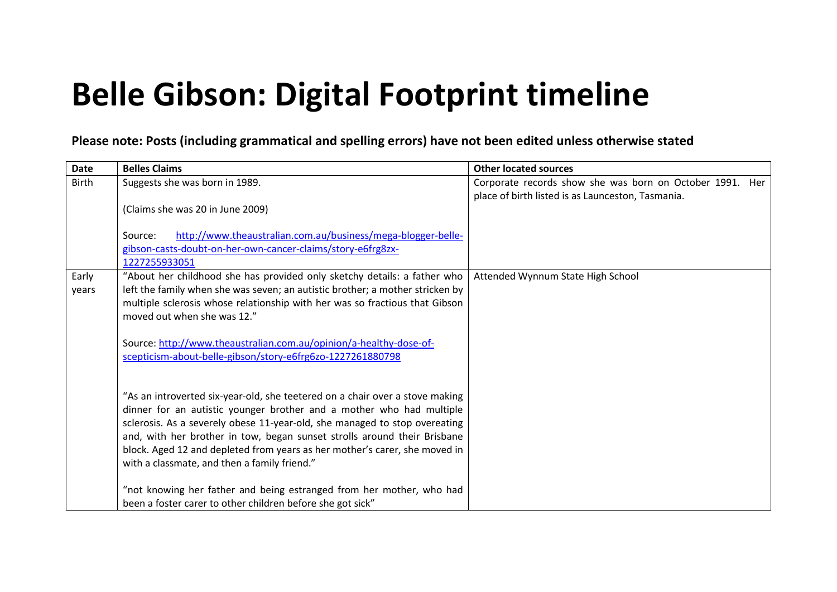## **Belle Gibson: Digital Footprint timeline**

## **Please note: Posts (including grammatical and spelling errors) have not been edited unless otherwise stated**

| Date         | <b>Belles Claims</b>                                                                                                             | <b>Other located sources</b>                                                                                  |
|--------------|----------------------------------------------------------------------------------------------------------------------------------|---------------------------------------------------------------------------------------------------------------|
| <b>Birth</b> | Suggests she was born in 1989.                                                                                                   | Corporate records show she was born on October 1991. Her<br>place of birth listed is as Launceston, Tasmania. |
|              | (Claims she was 20 in June 2009)<br>http://www.theaustralian.com.au/business/mega-blogger-belle-<br>Source:                      |                                                                                                               |
|              | gibson-casts-doubt-on-her-own-cancer-claims/story-e6frg8zx-                                                                      |                                                                                                               |
|              | 1227255933051                                                                                                                    |                                                                                                               |
| Early        | "About her childhood she has provided only sketchy details: a father who                                                         | Attended Wynnum State High School                                                                             |
| years        | left the family when she was seven; an autistic brother; a mother stricken by                                                    |                                                                                                               |
|              | multiple sclerosis whose relationship with her was so fractious that Gibson                                                      |                                                                                                               |
|              | moved out when she was 12."                                                                                                      |                                                                                                               |
|              | Source: http://www.theaustralian.com.au/opinion/a-healthy-dose-of-<br>scepticism-about-belle-gibson/story-e6frg6zo-1227261880798 |                                                                                                               |
|              | "As an introverted six-year-old, she teetered on a chair over a stove making                                                     |                                                                                                               |
|              | dinner for an autistic younger brother and a mother who had multiple                                                             |                                                                                                               |
|              | sclerosis. As a severely obese 11-year-old, she managed to stop overeating                                                       |                                                                                                               |
|              | and, with her brother in tow, began sunset strolls around their Brisbane                                                         |                                                                                                               |
|              | block. Aged 12 and depleted from years as her mother's carer, she moved in                                                       |                                                                                                               |
|              | with a classmate, and then a family friend."                                                                                     |                                                                                                               |
|              | "not knowing her father and being estranged from her mother, who had                                                             |                                                                                                               |
|              | been a foster carer to other children before she got sick"                                                                       |                                                                                                               |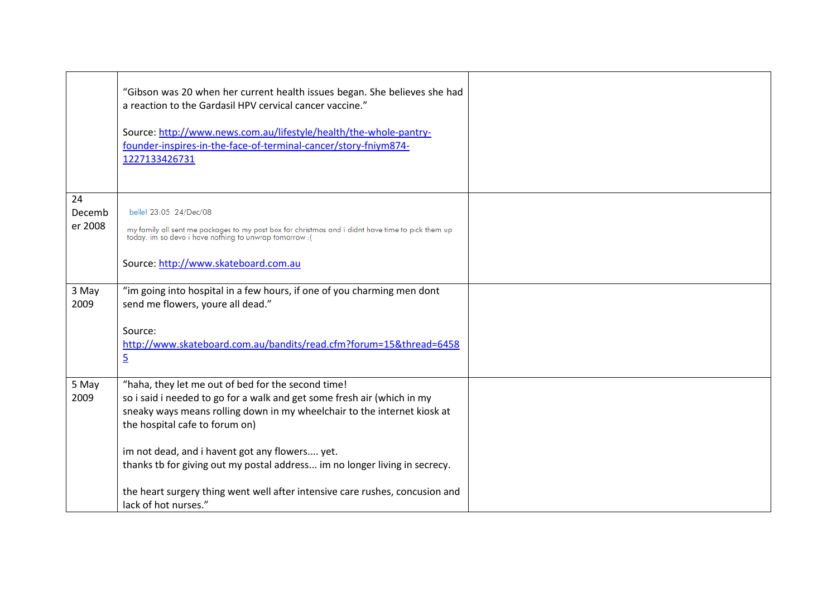|         | "Gibson was 20 when her current health issues began. She believes she had<br>a reaction to the Gardasil HPV cervical cancer vaccine."<br>Source: http://www.news.com.au/lifestyle/health/the-whole-pantry-<br>founder-inspires-in-the-face-of-terminal-cancer/story-fniym874-<br>1227133426731 |  |
|---------|------------------------------------------------------------------------------------------------------------------------------------------------------------------------------------------------------------------------------------------------------------------------------------------------|--|
| 24      |                                                                                                                                                                                                                                                                                                |  |
| Decemb  | belle! 23:05 24/Dec/08                                                                                                                                                                                                                                                                         |  |
| er 2008 | my family all sent me packages to my post box for christmas and i didnt have time to pick them up today, im so devo i have nothing to unwrap tomorrow :(                                                                                                                                       |  |
|         |                                                                                                                                                                                                                                                                                                |  |
|         | Source: http://www.skateboard.com.au                                                                                                                                                                                                                                                           |  |
|         |                                                                                                                                                                                                                                                                                                |  |
| 3 May   | "im going into hospital in a few hours, if one of you charming men dont                                                                                                                                                                                                                        |  |
| 2009    | send me flowers, youre all dead."                                                                                                                                                                                                                                                              |  |
|         |                                                                                                                                                                                                                                                                                                |  |
|         | Source:<br>http://www.skateboard.com.au/bandits/read.cfm?forum=15&thread=6458                                                                                                                                                                                                                  |  |
|         | $\overline{5}$                                                                                                                                                                                                                                                                                 |  |
|         |                                                                                                                                                                                                                                                                                                |  |
| 5 May   | "haha, they let me out of bed for the second time!                                                                                                                                                                                                                                             |  |
| 2009    | so i said i needed to go for a walk and get some fresh air (which in my                                                                                                                                                                                                                        |  |
|         | sneaky ways means rolling down in my wheelchair to the internet kiosk at                                                                                                                                                                                                                       |  |
|         | the hospital cafe to forum on)                                                                                                                                                                                                                                                                 |  |
|         |                                                                                                                                                                                                                                                                                                |  |
|         | im not dead, and i havent got any flowers yet.                                                                                                                                                                                                                                                 |  |
|         | thanks tb for giving out my postal address im no longer living in secrecy.                                                                                                                                                                                                                     |  |
|         | the heart surgery thing went well after intensive care rushes, concusion and                                                                                                                                                                                                                   |  |
|         | lack of hot nurses."                                                                                                                                                                                                                                                                           |  |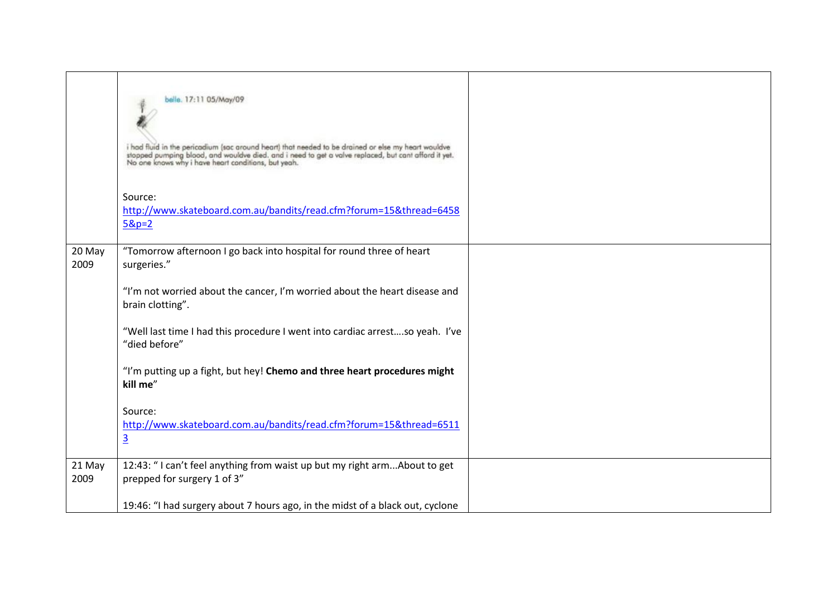|                | belle. 17:11 05/May/09<br>i had fluid in the pericadium (sac around heart) that needed to be drained or else my heart wouldve<br>stopped pumping blood, and wouldve died. and i need to get a valve replaced, but cant afford it yet.<br>No one knows why i have heart conditions, but yeah. |  |
|----------------|----------------------------------------------------------------------------------------------------------------------------------------------------------------------------------------------------------------------------------------------------------------------------------------------|--|
|                | Source:<br>http://www.skateboard.com.au/bandits/read.cfm?forum=15&thread=6458<br>$58p=2$                                                                                                                                                                                                     |  |
| 20 May<br>2009 | "Tomorrow afternoon I go back into hospital for round three of heart<br>surgeries."                                                                                                                                                                                                          |  |
|                | "I'm not worried about the cancer, I'm worried about the heart disease and<br>brain clotting".                                                                                                                                                                                               |  |
|                | "Well last time I had this procedure I went into cardiac arrestso yeah. I've<br>"died before"                                                                                                                                                                                                |  |
|                | "I'm putting up a fight, but hey! Chemo and three heart procedures might<br>kill me"                                                                                                                                                                                                         |  |
|                | Source:<br>http://www.skateboard.com.au/bandits/read.cfm?forum=15&thread=6511<br>$\overline{3}$                                                                                                                                                                                              |  |
| 21 May<br>2009 | 12:43: "I can't feel anything from waist up but my right arm About to get<br>prepped for surgery 1 of 3"                                                                                                                                                                                     |  |
|                | 19:46: "I had surgery about 7 hours ago, in the midst of a black out, cyclone                                                                                                                                                                                                                |  |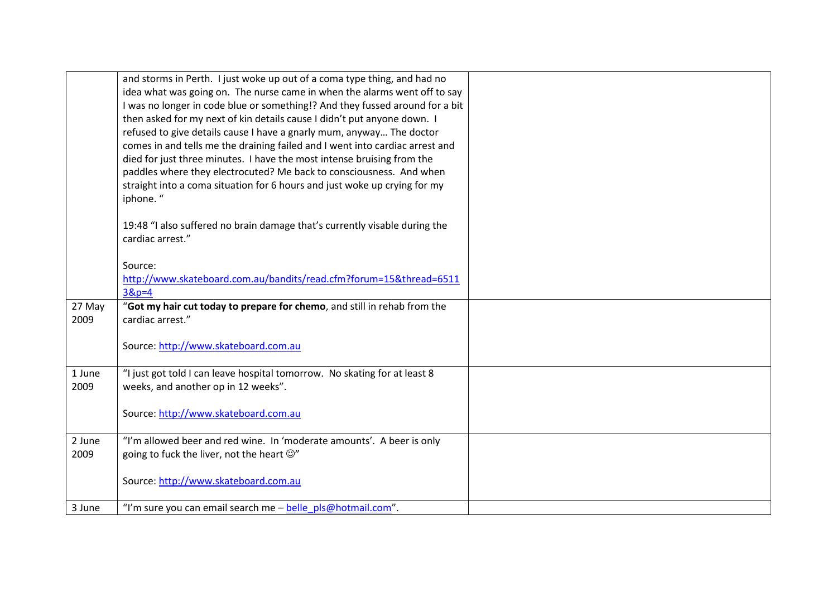|                | and storms in Perth. I just woke up out of a coma type thing, and had no<br>idea what was going on. The nurse came in when the alarms went off to say<br>I was no longer in code blue or something!? And they fussed around for a bit<br>then asked for my next of kin details cause I didn't put anyone down. I<br>refused to give details cause I have a gnarly mum, anyway The doctor<br>comes in and tells me the draining failed and I went into cardiac arrest and<br>died for just three minutes. I have the most intense bruising from the<br>paddles where they electrocuted? Me back to consciousness. And when<br>straight into a coma situation for 6 hours and just woke up crying for my |  |
|----------------|--------------------------------------------------------------------------------------------------------------------------------------------------------------------------------------------------------------------------------------------------------------------------------------------------------------------------------------------------------------------------------------------------------------------------------------------------------------------------------------------------------------------------------------------------------------------------------------------------------------------------------------------------------------------------------------------------------|--|
|                | iphone."                                                                                                                                                                                                                                                                                                                                                                                                                                                                                                                                                                                                                                                                                               |  |
|                | 19:48 "I also suffered no brain damage that's currently visable during the<br>cardiac arrest."                                                                                                                                                                                                                                                                                                                                                                                                                                                                                                                                                                                                         |  |
|                | Source:                                                                                                                                                                                                                                                                                                                                                                                                                                                                                                                                                                                                                                                                                                |  |
|                | http://www.skateboard.com.au/bandits/read.cfm?forum=15&thread=6511<br>$38p=4$                                                                                                                                                                                                                                                                                                                                                                                                                                                                                                                                                                                                                          |  |
| 27 May<br>2009 | "Got my hair cut today to prepare for chemo, and still in rehab from the<br>cardiac arrest."                                                                                                                                                                                                                                                                                                                                                                                                                                                                                                                                                                                                           |  |
|                | Source: http://www.skateboard.com.au                                                                                                                                                                                                                                                                                                                                                                                                                                                                                                                                                                                                                                                                   |  |
| 1 June         | "I just got told I can leave hospital tomorrow. No skating for at least 8                                                                                                                                                                                                                                                                                                                                                                                                                                                                                                                                                                                                                              |  |
| 2009           | weeks, and another op in 12 weeks".                                                                                                                                                                                                                                                                                                                                                                                                                                                                                                                                                                                                                                                                    |  |
|                | Source: http://www.skateboard.com.au                                                                                                                                                                                                                                                                                                                                                                                                                                                                                                                                                                                                                                                                   |  |
| 2 June         | "I'm allowed beer and red wine. In 'moderate amounts'. A beer is only                                                                                                                                                                                                                                                                                                                                                                                                                                                                                                                                                                                                                                  |  |
| 2009           | going to fuck the liver, not the heart $\mathbb{O}^n$                                                                                                                                                                                                                                                                                                                                                                                                                                                                                                                                                                                                                                                  |  |
|                | Source: http://www.skateboard.com.au                                                                                                                                                                                                                                                                                                                                                                                                                                                                                                                                                                                                                                                                   |  |
| 3 June         | "I'm sure you can email search me - belle pls@hotmail.com".                                                                                                                                                                                                                                                                                                                                                                                                                                                                                                                                                                                                                                            |  |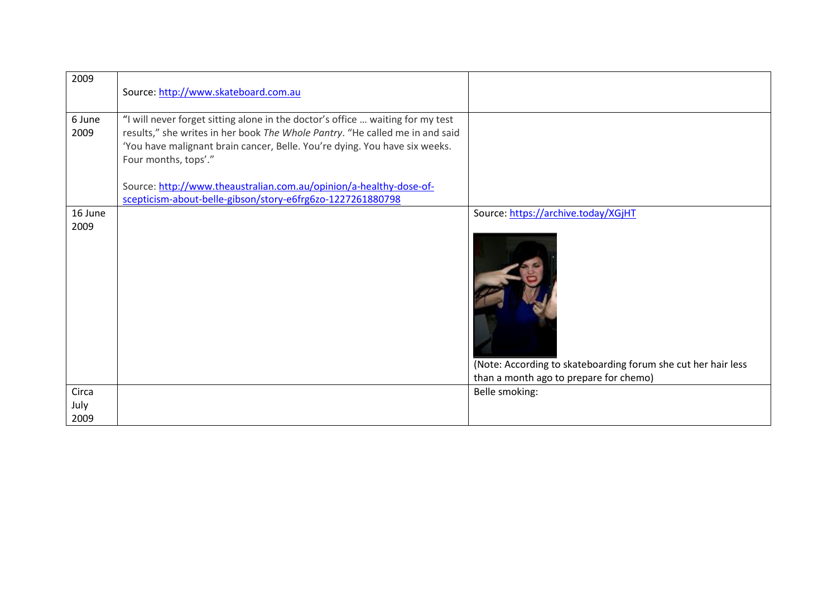| 2009                  | Source: http://www.skateboard.com.au                                                                                                                                                                                                                                 |                                                                                                                                                |
|-----------------------|----------------------------------------------------------------------------------------------------------------------------------------------------------------------------------------------------------------------------------------------------------------------|------------------------------------------------------------------------------------------------------------------------------------------------|
| 6 June<br>2009        | "I will never forget sitting alone in the doctor's office  waiting for my test<br>results," she writes in her book The Whole Pantry. "He called me in and said<br>'You have malignant brain cancer, Belle. You're dying. You have six weeks.<br>Four months, tops'." |                                                                                                                                                |
|                       | Source: http://www.theaustralian.com.au/opinion/a-healthy-dose-of-<br>scepticism-about-belle-gibson/story-e6frg6zo-1227261880798                                                                                                                                     |                                                                                                                                                |
| 16 June<br>2009       |                                                                                                                                                                                                                                                                      | Source: https://archive.today/XGjHT<br>(Note: According to skateboarding forum she cut her hair less<br>than a month ago to prepare for chemo) |
| Circa<br>July<br>2009 |                                                                                                                                                                                                                                                                      | Belle smoking:                                                                                                                                 |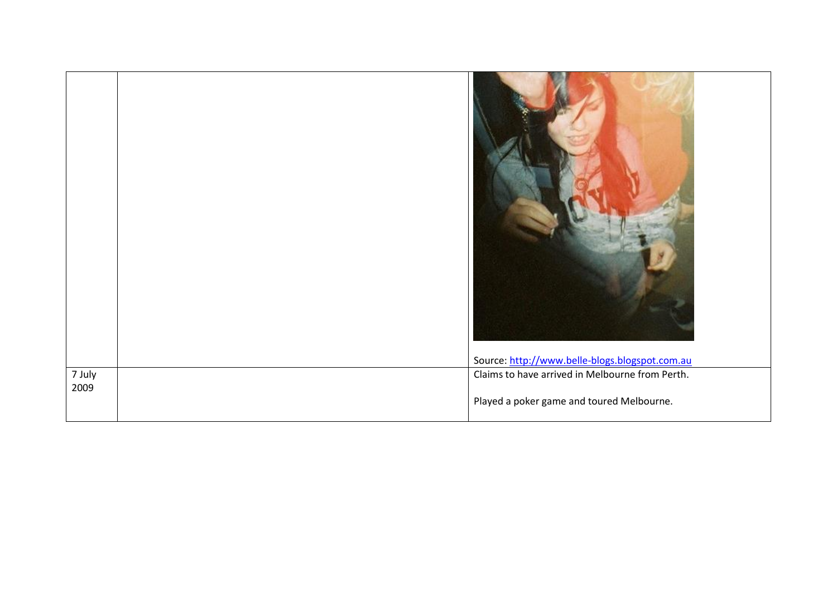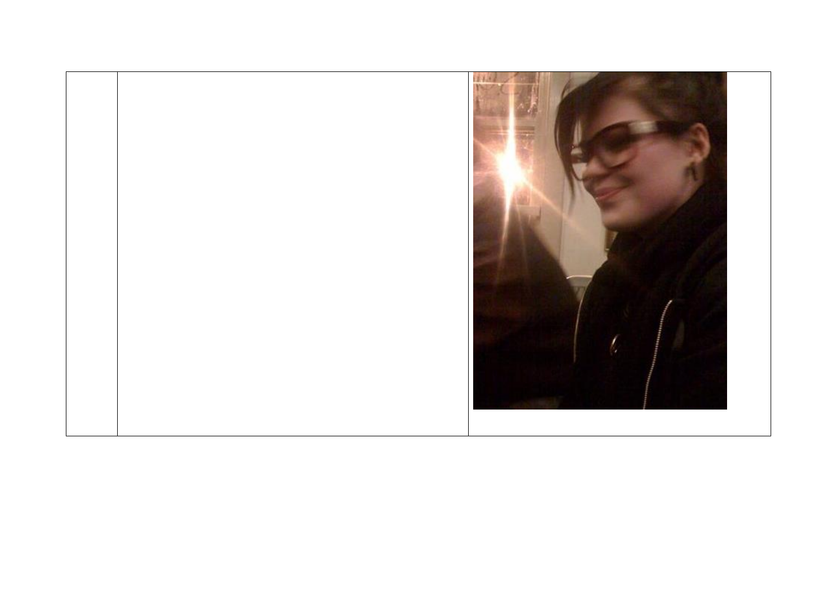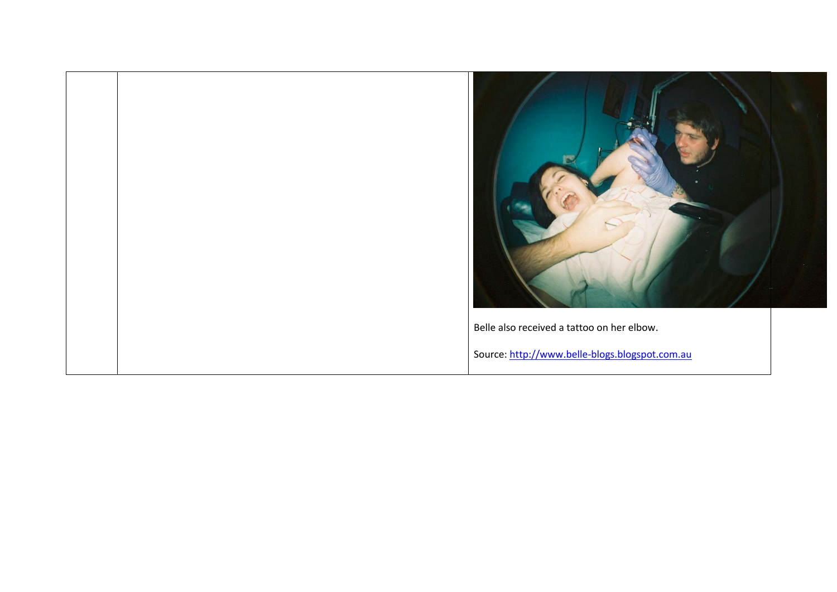

Belle also received a tattoo on her elbow.

Source[: http://www.belle-blogs.blogspot.com.au](http://www.belle-blogs.blogspot.com.au/)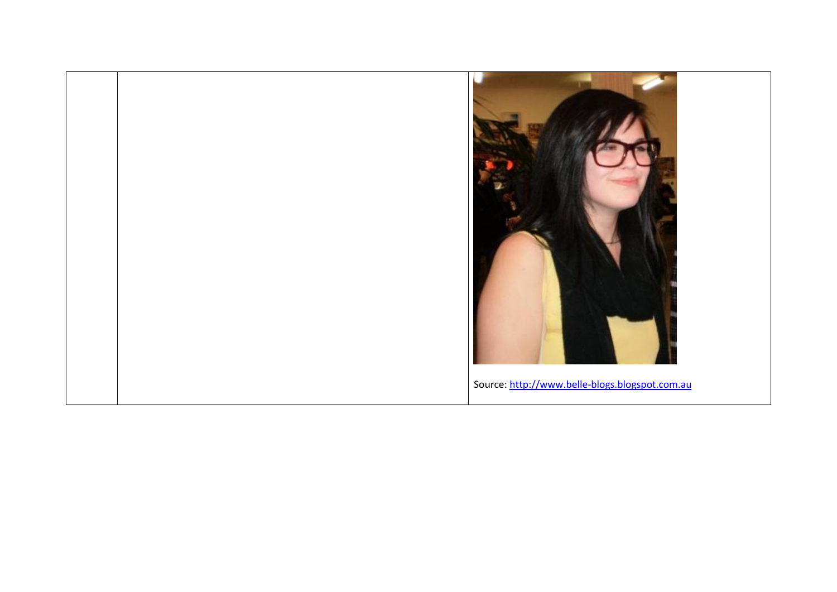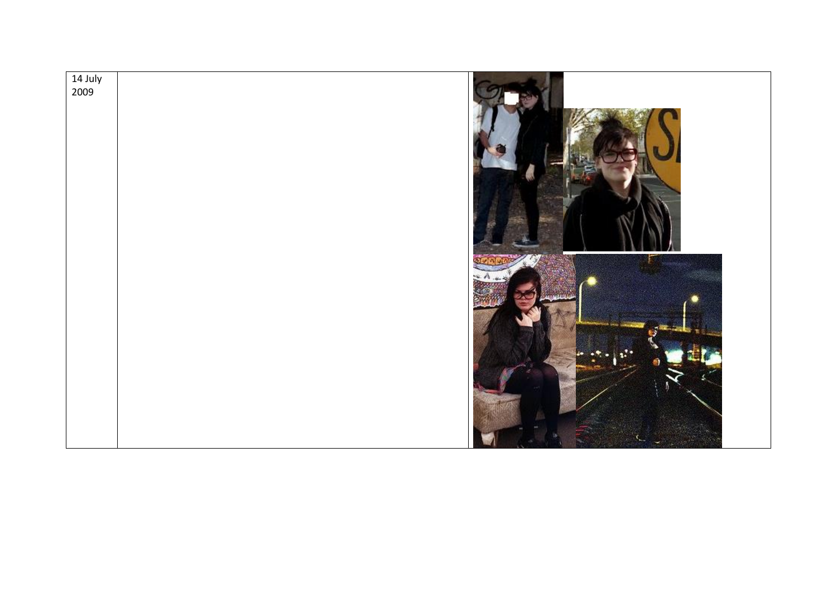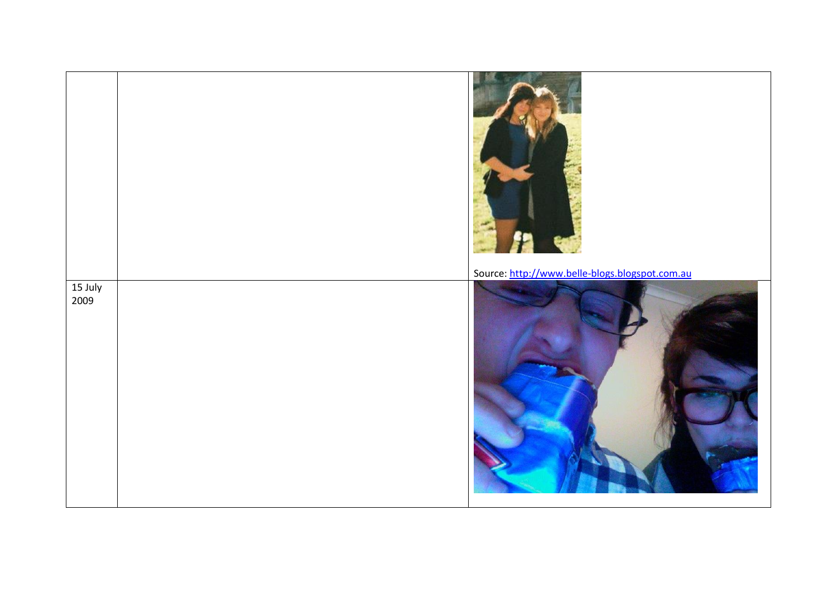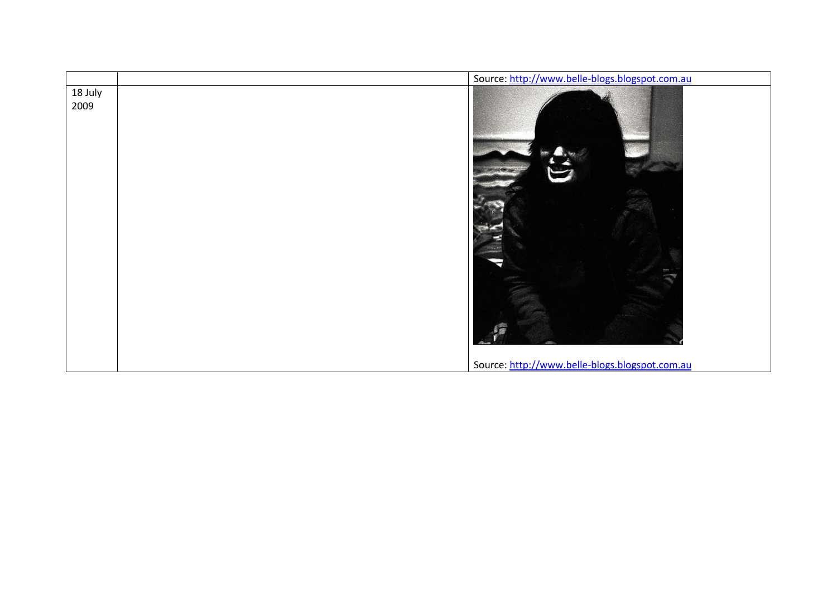|                 | Source: http://www.belle-blogs.blogspot.com.au |
|-----------------|------------------------------------------------|
| 18 July<br>2009 |                                                |
|                 | Source: http://www.belle-blogs.blogspot.com.au |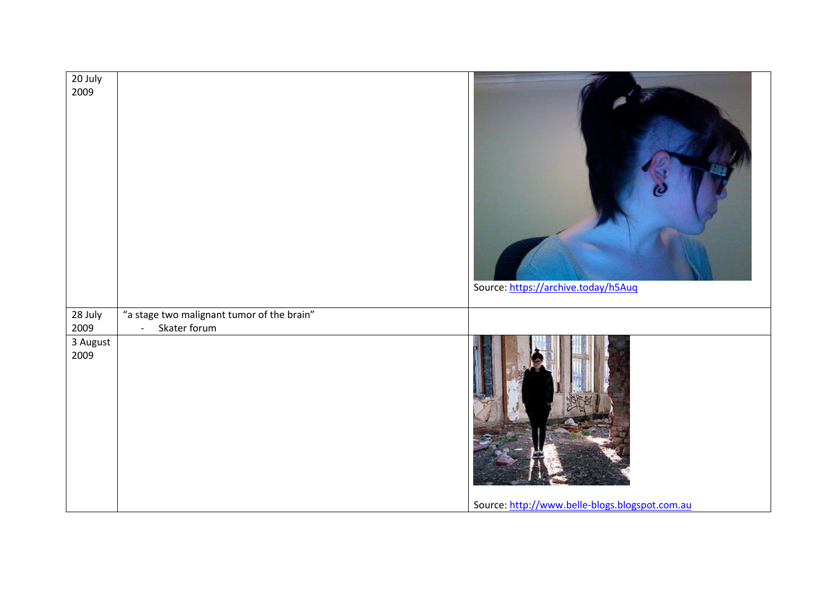| 20 July<br>2009  |                                            | Source: https://archive.today/h5Auq            |
|------------------|--------------------------------------------|------------------------------------------------|
| 28 July          | "a stage two malignant tumor of the brain" |                                                |
| 2009             | Skater forum<br>$\omega_{\rm c}$           |                                                |
| 3 August<br>2009 |                                            | Source: http://www.belle-blogs.blogspot.com.au |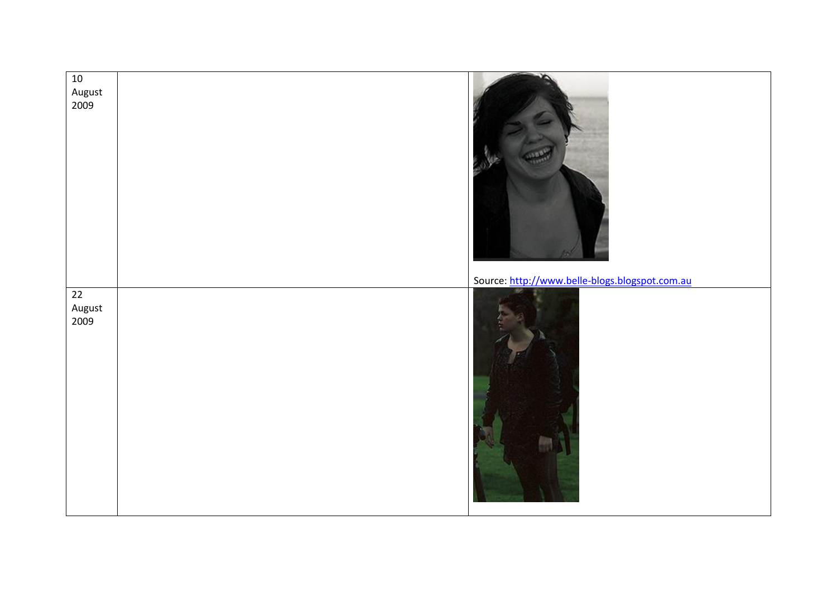| 10<br>August<br>2009              |                                                |
|-----------------------------------|------------------------------------------------|
|                                   | Source: http://www.belle-blogs.blogspot.com.au |
| $\overline{22}$<br>August<br>2009 |                                                |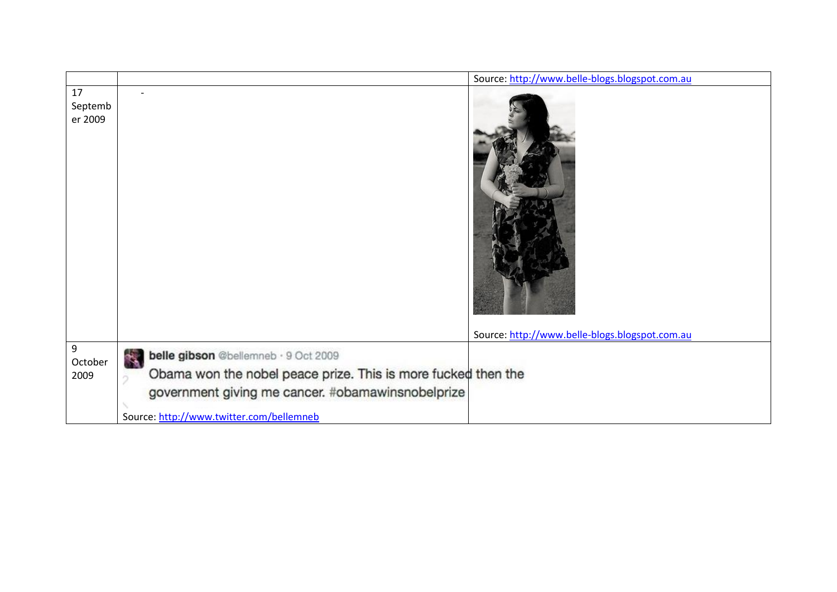|                          |                                                                                                                                                                | Source: http://www.belle-blogs.blogspot.com.au |
|--------------------------|----------------------------------------------------------------------------------------------------------------------------------------------------------------|------------------------------------------------|
| 17<br>Septemb<br>er 2009 |                                                                                                                                                                | Source: http://www.belle-blogs.blogspot.com.au |
| 9                        | belle gibson @bellemneb · 9 Oct 2009<br>鵊                                                                                                                      |                                                |
| October<br>2009          | Obama won the nobel peace prize. This is more fucked then the<br>government giving me cancer. #obamawinsnobelprize<br>Source: http://www.twitter.com/bellemneb |                                                |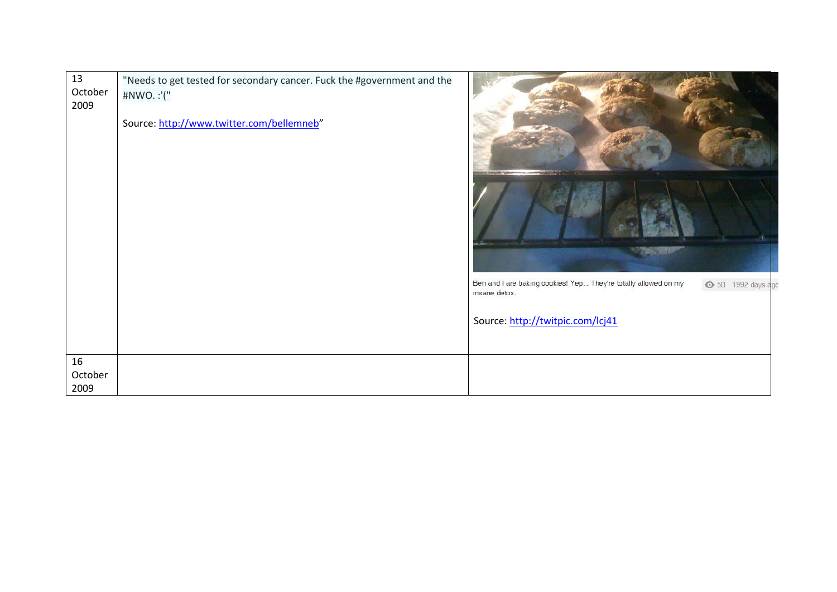| 13<br>October<br>2009 | "Needs to get tested for secondary cancer. Fuck the #government and the<br>#NWO. :'(" |                                                                                                               |
|-----------------------|---------------------------------------------------------------------------------------|---------------------------------------------------------------------------------------------------------------|
|                       | Source: http://www.twitter.com/bellemneb"                                             | <b>COLUMN TWO IS NOT THE OWNER.</b>                                                                           |
|                       |                                                                                       | Ben and I are baking cookies! Yep They're totally allowed on my<br><b>◎</b> 50 1992 days ago<br>insane detox. |
|                       |                                                                                       | Source: http://twitpic.com/lcj41                                                                              |
| 16<br>October<br>2009 |                                                                                       |                                                                                                               |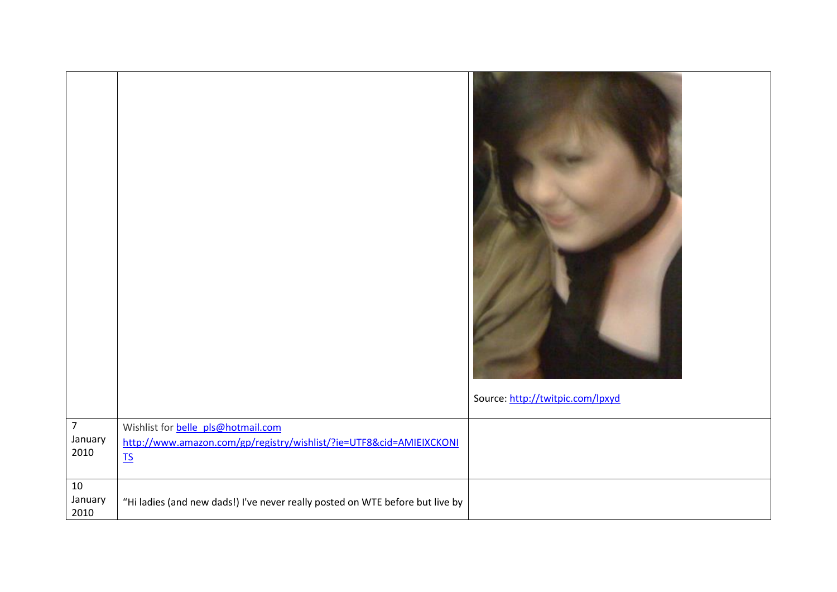|                                   |                                                                                                                          | Source: http://twitpic.com/lpxyd |
|-----------------------------------|--------------------------------------------------------------------------------------------------------------------------|----------------------------------|
| $\overline{7}$<br>January<br>2010 | Wishlist for <b>belle</b> pls@hotmail.com<br>http://www.amazon.com/gp/registry/wishlist/?ie=UTF8&cid=AMIEIXCKONI<br>$TS$ |                                  |
| 10<br>January<br>2010             | "Hi ladies (and new dads!) I've never really posted on WTE before but live by                                            |                                  |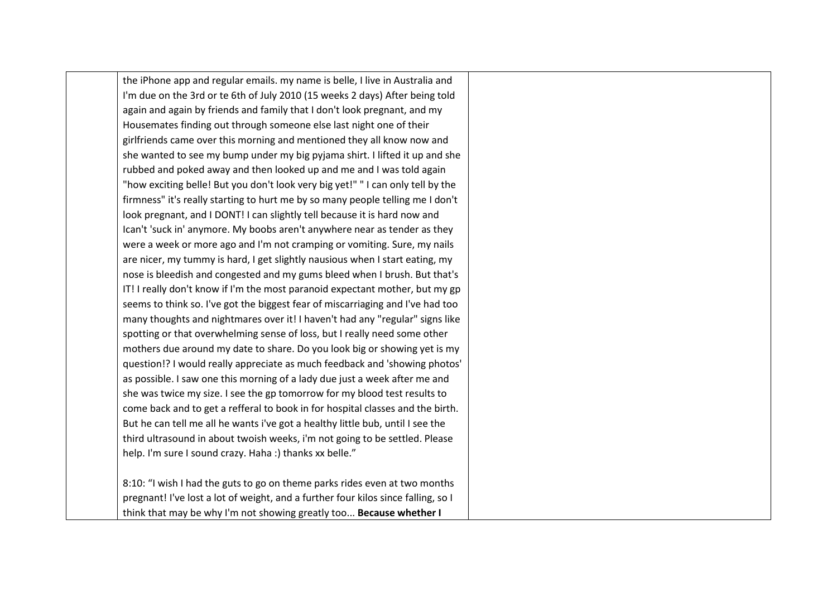| the iPhone app and regular emails. my name is belle, I live in Australia and      |  |
|-----------------------------------------------------------------------------------|--|
| I'm due on the 3rd or te 6th of July 2010 (15 weeks 2 days) After being told      |  |
| again and again by friends and family that I don't look pregnant, and my          |  |
| Housemates finding out through someone else last night one of their               |  |
| girlfriends came over this morning and mentioned they all know now and            |  |
| she wanted to see my bump under my big pyjama shirt. I lifted it up and she       |  |
| rubbed and poked away and then looked up and me and I was told again              |  |
| "how exciting belle! But you don't look very big yet!" "I can only tell by the    |  |
| firmness" it's really starting to hurt me by so many people telling me I don't    |  |
| look pregnant, and I DONT! I can slightly tell because it is hard now and         |  |
| Ican't 'suck in' anymore. My boobs aren't anywhere near as tender as they         |  |
| were a week or more ago and I'm not cramping or vomiting. Sure, my nails          |  |
| are nicer, my tummy is hard, I get slightly nausious when I start eating, my      |  |
| nose is bleedish and congested and my gums bleed when I brush. But that's         |  |
| IT! I really don't know if I'm the most paranoid expectant mother, but my gp      |  |
| seems to think so. I've got the biggest fear of miscarriaging and I've had too    |  |
| many thoughts and nightmares over it! I haven't had any "regular" signs like      |  |
| spotting or that overwhelming sense of loss, but I really need some other         |  |
| mothers due around my date to share. Do you look big or showing yet is my         |  |
| question!? I would really appreciate as much feedback and 'showing photos'        |  |
| as possible. I saw one this morning of a lady due just a week after me and        |  |
| she was twice my size. I see the gp tomorrow for my blood test results to         |  |
| come back and to get a refferal to book in for hospital classes and the birth.    |  |
| But he can tell me all he wants i've got a healthy little bub, until I see the    |  |
| third ultrasound in about twoish weeks, i'm not going to be settled. Please       |  |
| help. I'm sure I sound crazy. Haha :) thanks xx belle."                           |  |
| 8:10: "I wish I had the guts to go on theme parks rides even at two months        |  |
| reconnect this lost a lot of woight, and a further four kilos since falling, so I |  |

pregnant! I've lost a lot of weight, and a further four kilos since falling, so I think that may be why I'm not showing greatly too... **Because whether I**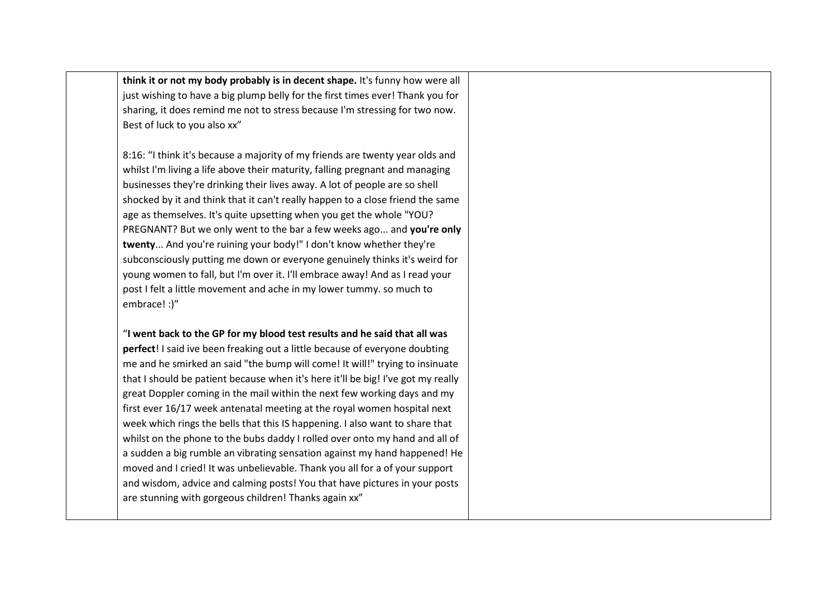**think it or not my body probably is in decent shape.** It's funny how were all just wishing to have a big plump belly for the first times ever! Thank you for sharing, it does remind me not to stress because I'm stressing for two now. Best of luck to you also xx"

8:16: "I think it's because a majority of my friends are twenty year olds and whilst I'm living a life above their maturity, falling pregnant and managing businesses they're drinking their lives away. A lot of people are so shell shocked by it and think that it can't really happen to a close friend the same age as themselves. It's quite upsetting when you get the whole "YOU? PREGNANT? But we only went to the bar a few weeks ago... and **you're only twenty**... And you're ruining your body!" I don't know whether they're subconsciously putting me down or everyone genuinely thinks it's weird for young women to fall, but I'm over it. I'll embrace away! And as I read your post I felt a little movement and ache in my lower tummy. so much to embrace! :)"

"**I went back to the GP for my blood test results and he said that all was perfect**! I said ive been freaking out a little because of everyone doubting me and he smirked an said "the bump will come! It will!" trying to insinuate that I should be patient because when it's here it'll be big! I've got my really great Doppler coming in the mail within the next few working days and my first ever 16/17 week antenatal meeting at the royal women hospital next week which rings the bells that this IS happening. I also want to share that whilst on the phone to the bubs daddy I rolled over onto my hand and all of a sudden a big rumble an vibrating sensation against my hand happened! He moved and I cried! It was unbelievable. Thank you all for a of your support and wisdom, advice and calming posts! You that have pictures in your posts are stunning with gorgeous children! Thanks again xx"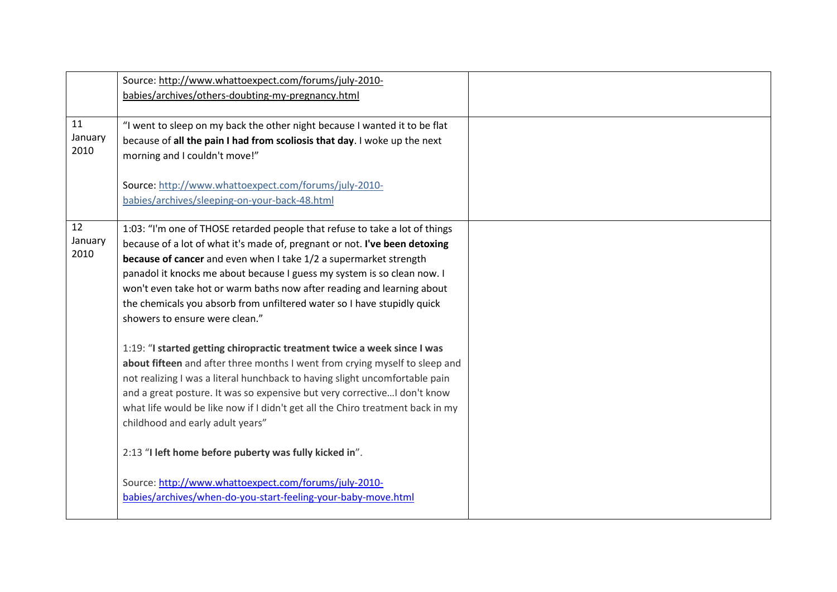| Source: http://www.whattoexpect.com/forums/july-2010-<br>babies/archives/others-doubting-my-pregnancy.html                                                                                                                                                                                                                                                                                                                                                                                                                                                                                                                                                                                                                                                                                                                                                                                                                                                                                                                                                                                                                                                 |  |
|------------------------------------------------------------------------------------------------------------------------------------------------------------------------------------------------------------------------------------------------------------------------------------------------------------------------------------------------------------------------------------------------------------------------------------------------------------------------------------------------------------------------------------------------------------------------------------------------------------------------------------------------------------------------------------------------------------------------------------------------------------------------------------------------------------------------------------------------------------------------------------------------------------------------------------------------------------------------------------------------------------------------------------------------------------------------------------------------------------------------------------------------------------|--|
| 11<br>"I went to sleep on my back the other night because I wanted it to be flat<br>January<br>because of all the pain I had from scoliosis that day. I woke up the next<br>2010<br>morning and I couldn't move!"<br>Source: http://www.whattoexpect.com/forums/july-2010-<br>babies/archives/sleeping-on-your-back-48.html                                                                                                                                                                                                                                                                                                                                                                                                                                                                                                                                                                                                                                                                                                                                                                                                                                |  |
| 12<br>1:03: "I'm one of THOSE retarded people that refuse to take a lot of things<br>January<br>because of a lot of what it's made of, pregnant or not. I've been detoxing<br>2010<br>because of cancer and even when I take 1/2 a supermarket strength<br>panadol it knocks me about because I guess my system is so clean now. I<br>won't even take hot or warm baths now after reading and learning about<br>the chemicals you absorb from unfiltered water so I have stupidly quick<br>showers to ensure were clean."<br>1:19: "I started getting chiropractic treatment twice a week since I was<br>about fifteen and after three months I went from crying myself to sleep and<br>not realizing I was a literal hunchback to having slight uncomfortable pain<br>and a great posture. It was so expensive but very corrective I don't know<br>what life would be like now if I didn't get all the Chiro treatment back in my<br>childhood and early adult years"<br>2:13 "I left home before puberty was fully kicked in".<br>Source: http://www.whattoexpect.com/forums/july-2010-<br>babies/archives/when-do-you-start-feeling-your-baby-move.html |  |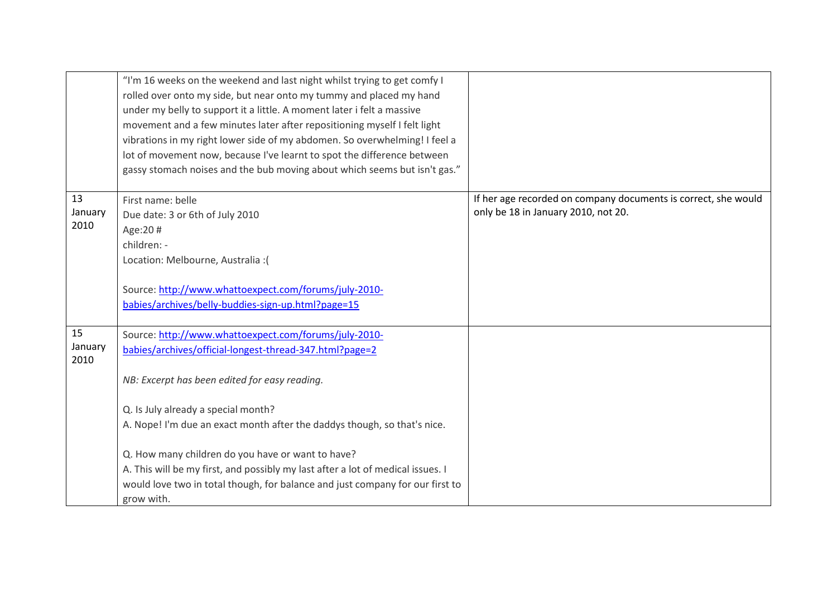|                 | "I'm 16 weeks on the weekend and last night whilst trying to get comfy I<br>rolled over onto my side, but near onto my tummy and placed my hand<br>under my belly to support it a little. A moment later i felt a massive<br>movement and a few minutes later after repositioning myself I felt light<br>vibrations in my right lower side of my abdomen. So overwhelming! I feel a<br>lot of movement now, because I've learnt to spot the difference between<br>gassy stomach noises and the bub moving about which seems but isn't gas." |                                                                                                       |
|-----------------|---------------------------------------------------------------------------------------------------------------------------------------------------------------------------------------------------------------------------------------------------------------------------------------------------------------------------------------------------------------------------------------------------------------------------------------------------------------------------------------------------------------------------------------------|-------------------------------------------------------------------------------------------------------|
| 13<br>January   | First name: belle                                                                                                                                                                                                                                                                                                                                                                                                                                                                                                                           | If her age recorded on company documents is correct, she would<br>only be 18 in January 2010, not 20. |
| 2010            | Due date: 3 or 6th of July 2010                                                                                                                                                                                                                                                                                                                                                                                                                                                                                                             |                                                                                                       |
|                 | Age: 20 #<br>children: -                                                                                                                                                                                                                                                                                                                                                                                                                                                                                                                    |                                                                                                       |
|                 | Location: Melbourne, Australia : (                                                                                                                                                                                                                                                                                                                                                                                                                                                                                                          |                                                                                                       |
|                 | Source: http://www.whattoexpect.com/forums/july-2010-<br>babies/archives/belly-buddies-sign-up.html?page=15                                                                                                                                                                                                                                                                                                                                                                                                                                 |                                                                                                       |
| 15              | Source: http://www.whattoexpect.com/forums/july-2010-                                                                                                                                                                                                                                                                                                                                                                                                                                                                                       |                                                                                                       |
| January<br>2010 | babies/archives/official-longest-thread-347.html?page=2                                                                                                                                                                                                                                                                                                                                                                                                                                                                                     |                                                                                                       |
|                 | NB: Excerpt has been edited for easy reading.                                                                                                                                                                                                                                                                                                                                                                                                                                                                                               |                                                                                                       |
|                 | Q. Is July already a special month?                                                                                                                                                                                                                                                                                                                                                                                                                                                                                                         |                                                                                                       |
|                 | A. Nope! I'm due an exact month after the daddys though, so that's nice.                                                                                                                                                                                                                                                                                                                                                                                                                                                                    |                                                                                                       |
|                 | Q. How many children do you have or want to have?                                                                                                                                                                                                                                                                                                                                                                                                                                                                                           |                                                                                                       |
|                 | A. This will be my first, and possibly my last after a lot of medical issues. I                                                                                                                                                                                                                                                                                                                                                                                                                                                             |                                                                                                       |
|                 | would love two in total though, for balance and just company for our first to                                                                                                                                                                                                                                                                                                                                                                                                                                                               |                                                                                                       |
|                 | grow with.                                                                                                                                                                                                                                                                                                                                                                                                                                                                                                                                  |                                                                                                       |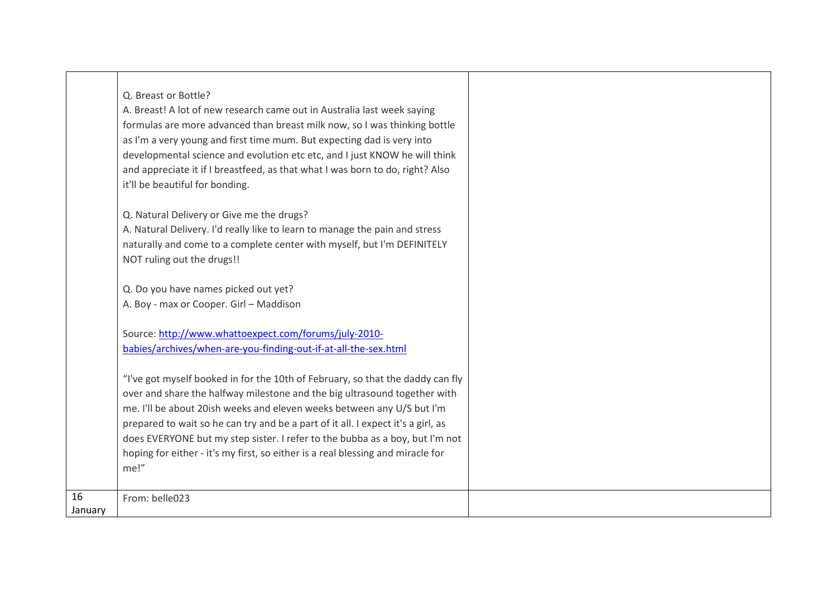|         | Q. Breast or Bottle?                                                             |  |
|---------|----------------------------------------------------------------------------------|--|
|         | A. Breast! A lot of new research came out in Australia last week saying          |  |
|         | formulas are more advanced than breast milk now, so I was thinking bottle        |  |
|         | as I'm a very young and first time mum. But expecting dad is very into           |  |
|         | developmental science and evolution etc etc, and I just KNOW he will think       |  |
|         | and appreciate it if I breastfeed, as that what I was born to do, right? Also    |  |
|         | it'll be beautiful for bonding.                                                  |  |
|         | Q. Natural Delivery or Give me the drugs?                                        |  |
|         | A. Natural Delivery. I'd really like to learn to manage the pain and stress      |  |
|         | naturally and come to a complete center with myself, but I'm DEFINITELY          |  |
|         | NOT ruling out the drugs!!                                                       |  |
|         | Q. Do you have names picked out yet?                                             |  |
|         | A. Boy - max or Cooper. Girl - Maddison                                          |  |
|         | Source: http://www.whattoexpect.com/forums/july-2010-                            |  |
|         | babies/archives/when-are-you-finding-out-if-at-all-the-sex.html                  |  |
|         | "I've got myself booked in for the 10th of February, so that the daddy can fly   |  |
|         | over and share the halfway milestone and the big ultrasound together with        |  |
|         | me. I'll be about 20ish weeks and eleven weeks between any U/S but I'm           |  |
|         | prepared to wait so he can try and be a part of it all. I expect it's a girl, as |  |
|         | does EVERYONE but my step sister. I refer to the bubba as a boy, but I'm not     |  |
|         | hoping for either - it's my first, so either is a real blessing and miracle for  |  |
|         | me!"                                                                             |  |
|         |                                                                                  |  |
| January | From: belle023                                                                   |  |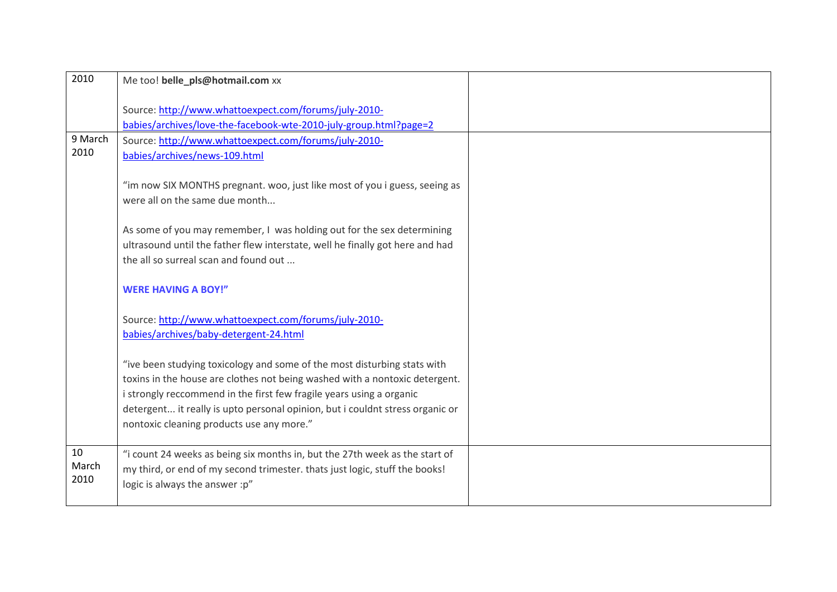| 2010            | Me too! belle_pls@hotmail.com xx                                                                             |  |
|-----------------|--------------------------------------------------------------------------------------------------------------|--|
|                 |                                                                                                              |  |
|                 | Source: http://www.whattoexpect.com/forums/july-2010-                                                        |  |
|                 | babies/archives/love-the-facebook-wte-2010-july-group.html?page=2                                            |  |
| 9 March<br>2010 | Source: http://www.whattoexpect.com/forums/july-2010-                                                        |  |
|                 | babies/archives/news-109.html                                                                                |  |
|                 |                                                                                                              |  |
|                 | "im now SIX MONTHS pregnant. woo, just like most of you i guess, seeing as<br>were all on the same due month |  |
|                 |                                                                                                              |  |
|                 | As some of you may remember, I was holding out for the sex determining                                       |  |
|                 | ultrasound until the father flew interstate, well he finally got here and had                                |  |
|                 | the all so surreal scan and found out                                                                        |  |
|                 |                                                                                                              |  |
|                 | <b>WERE HAVING A BOY!"</b>                                                                                   |  |
|                 |                                                                                                              |  |
|                 | Source: http://www.whattoexpect.com/forums/july-2010-                                                        |  |
|                 | babies/archives/baby-detergent-24.html                                                                       |  |
|                 | "ive been studying toxicology and some of the most disturbing stats with                                     |  |
|                 | toxins in the house are clothes not being washed with a nontoxic detergent.                                  |  |
|                 | i strongly reccommend in the first few fragile years using a organic                                         |  |
|                 | detergent it really is upto personal opinion, but i couldnt stress organic or                                |  |
|                 | nontoxic cleaning products use any more."                                                                    |  |
|                 |                                                                                                              |  |
| 10              | "i count 24 weeks as being six months in, but the 27th week as the start of                                  |  |
| March           | my third, or end of my second trimester. thats just logic, stuff the books!                                  |  |
| 2010            | logic is always the answer :p"                                                                               |  |
|                 |                                                                                                              |  |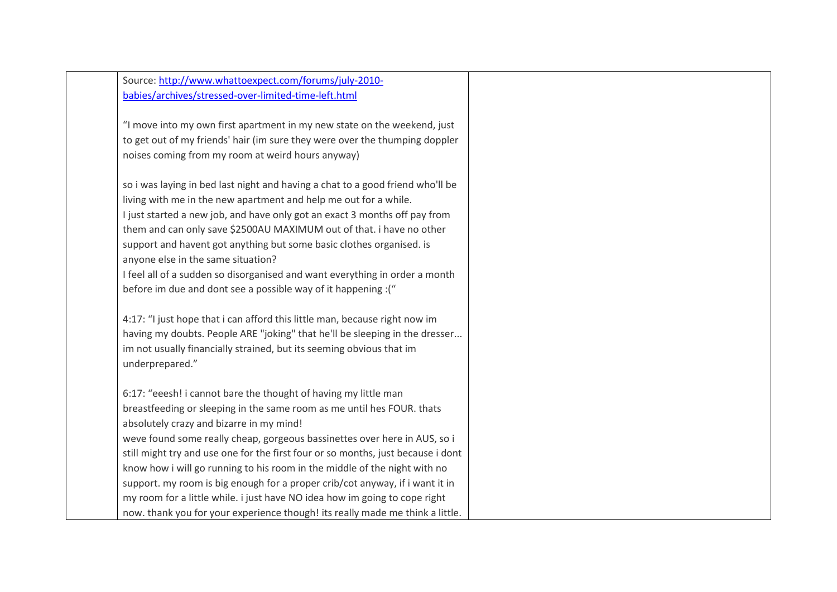| Source: http://www.whattoexpect.com/forums/july-2010-                            |
|----------------------------------------------------------------------------------|
| babies/archives/stressed-over-limited-time-left.html                             |
|                                                                                  |
| "I move into my own first apartment in my new state on the weekend, just         |
| to get out of my friends' hair (im sure they were over the thumping doppler      |
| noises coming from my room at weird hours anyway)                                |
| so i was laying in bed last night and having a chat to a good friend who'll be   |
| living with me in the new apartment and help me out for a while.                 |
| I just started a new job, and have only got an exact 3 months off pay from       |
| them and can only save \$2500AU MAXIMUM out of that. i have no other             |
| support and havent got anything but some basic clothes organised. is             |
| anyone else in the same situation?                                               |
| I feel all of a sudden so disorganised and want everything in order a month      |
| before im due and dont see a possible way of it happening :("                    |
| 4:17: "I just hope that i can afford this little man, because right now im       |
| having my doubts. People ARE "joking" that he'll be sleeping in the dresser      |
| im not usually financially strained, but its seeming obvious that im             |
| underprepared."                                                                  |
| 6:17: "eeesh! i cannot bare the thought of having my little man                  |
| breastfeeding or sleeping in the same room as me until hes FOUR. thats           |
| absolutely crazy and bizarre in my mind!                                         |
| weve found some really cheap, gorgeous bassinettes over here in AUS, so i        |
| still might try and use one for the first four or so months, just because i dont |
|                                                                                  |
| know how i will go running to his room in the middle of the night with no        |
| support. my room is big enough for a proper crib/cot anyway, if i want it in     |
| my room for a little while. i just have NO idea how im going to cope right       |
| now. thank you for your experience though! its really made me think a little.    |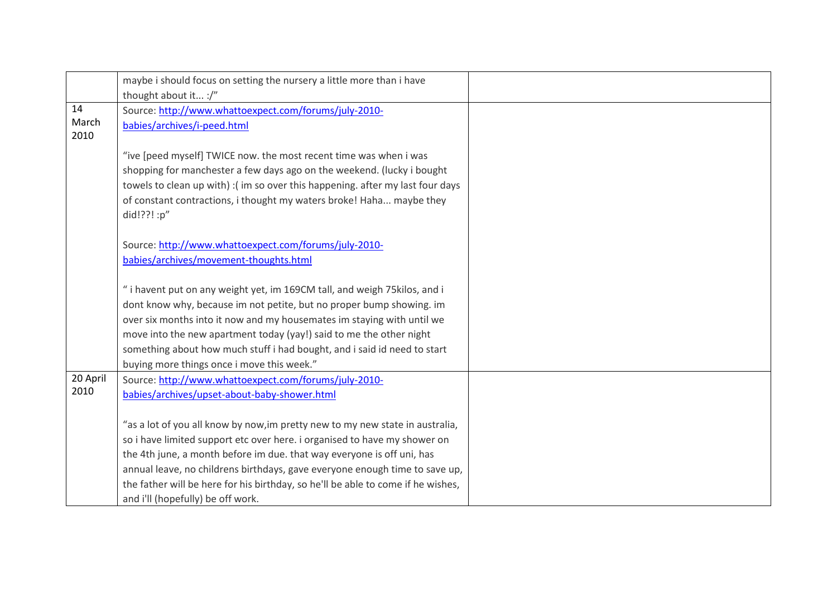|          | maybe i should focus on setting the nursery a little more than i have            |  |
|----------|----------------------------------------------------------------------------------|--|
|          | thought about it :/"                                                             |  |
| 14       | Source: http://www.whattoexpect.com/forums/july-2010-                            |  |
| March    | babies/archives/i-peed.html                                                      |  |
| 2010     |                                                                                  |  |
|          | "ive [peed myself] TWICE now. the most recent time was when i was                |  |
|          | shopping for manchester a few days ago on the weekend. (lucky i bought           |  |
|          | towels to clean up with) :( im so over this happening. after my last four days   |  |
|          | of constant contractions, i thought my waters broke! Haha maybe they             |  |
|          | did!??! :p"                                                                      |  |
|          |                                                                                  |  |
|          | Source: http://www.whattoexpect.com/forums/july-2010-                            |  |
|          | babies/archives/movement-thoughts.html                                           |  |
|          |                                                                                  |  |
|          | " i havent put on any weight yet, im 169CM tall, and weigh 75kilos, and i        |  |
|          | dont know why, because im not petite, but no proper bump showing. im             |  |
|          | over six months into it now and my housemates im staying with until we           |  |
|          | move into the new apartment today (yay!) said to me the other night              |  |
|          | something about how much stuff i had bought, and i said id need to start         |  |
|          | buying more things once i move this week."                                       |  |
| 20 April | Source: http://www.whattoexpect.com/forums/july-2010-                            |  |
| 2010     | babies/archives/upset-about-baby-shower.html                                     |  |
|          |                                                                                  |  |
|          | "as a lot of you all know by now, im pretty new to my new state in australia,    |  |
|          | so i have limited support etc over here. i organised to have my shower on        |  |
|          | the 4th june, a month before im due. that way everyone is off uni, has           |  |
|          | annual leave, no childrens birthdays, gave everyone enough time to save up,      |  |
|          | the father will be here for his birthday, so he'll be able to come if he wishes, |  |
|          | and i'll (hopefully) be off work.                                                |  |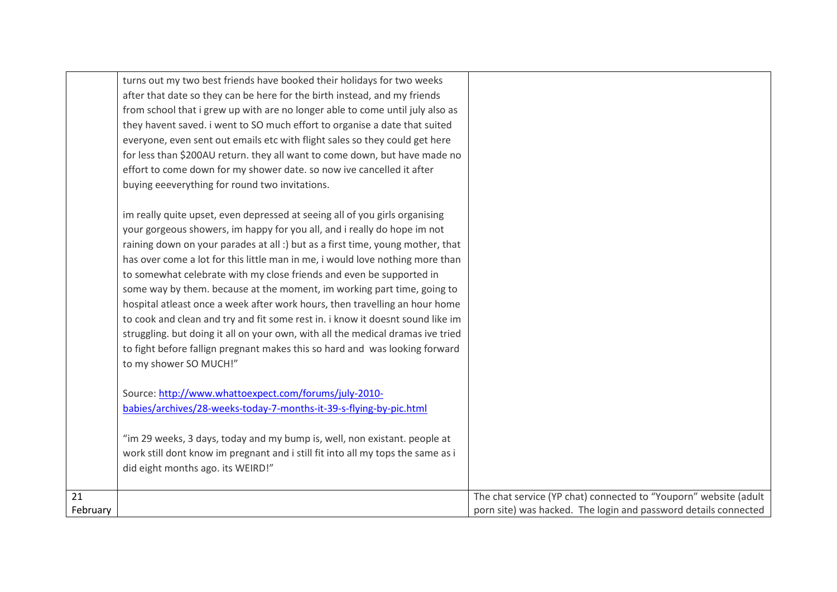|                | turns out my two best friends have booked their holidays for two weeks          |                                                                                                                                     |
|----------------|---------------------------------------------------------------------------------|-------------------------------------------------------------------------------------------------------------------------------------|
|                | after that date so they can be here for the birth instead, and my friends       |                                                                                                                                     |
|                | from school that i grew up with are no longer able to come until july also as   |                                                                                                                                     |
|                | they havent saved. i went to SO much effort to organise a date that suited      |                                                                                                                                     |
|                | everyone, even sent out emails etc with flight sales so they could get here     |                                                                                                                                     |
|                | for less than \$200AU return. they all want to come down, but have made no      |                                                                                                                                     |
|                | effort to come down for my shower date. so now ive cancelled it after           |                                                                                                                                     |
|                | buying eeeverything for round two invitations.                                  |                                                                                                                                     |
|                | im really quite upset, even depressed at seeing all of you girls organising     |                                                                                                                                     |
|                | your gorgeous showers, im happy for you all, and i really do hope im not        |                                                                                                                                     |
|                | raining down on your parades at all :) but as a first time, young mother, that  |                                                                                                                                     |
|                | has over come a lot for this little man in me, i would love nothing more than   |                                                                                                                                     |
|                | to somewhat celebrate with my close friends and even be supported in            |                                                                                                                                     |
|                | some way by them. because at the moment, im working part time, going to         |                                                                                                                                     |
|                | hospital atleast once a week after work hours, then travelling an hour home     |                                                                                                                                     |
|                | to cook and clean and try and fit some rest in. i know it doesnt sound like im  |                                                                                                                                     |
|                | struggling. but doing it all on your own, with all the medical dramas ive tried |                                                                                                                                     |
|                | to fight before fallign pregnant makes this so hard and was looking forward     |                                                                                                                                     |
|                | to my shower SO MUCH!"                                                          |                                                                                                                                     |
|                | Source: http://www.whattoexpect.com/forums/july-2010-                           |                                                                                                                                     |
|                | babies/archives/28-weeks-today-7-months-it-39-s-flying-by-pic.html              |                                                                                                                                     |
|                | "im 29 weeks, 3 days, today and my bump is, well, non existant. people at       |                                                                                                                                     |
|                | work still dont know im pregnant and i still fit into all my tops the same as i |                                                                                                                                     |
|                | did eight months ago. its WEIRD!"                                               |                                                                                                                                     |
|                |                                                                                 |                                                                                                                                     |
| 21<br>February |                                                                                 | The chat service (YP chat) connected to "Youporn" website (adult<br>porn site) was hacked. The login and password details connected |
|                |                                                                                 |                                                                                                                                     |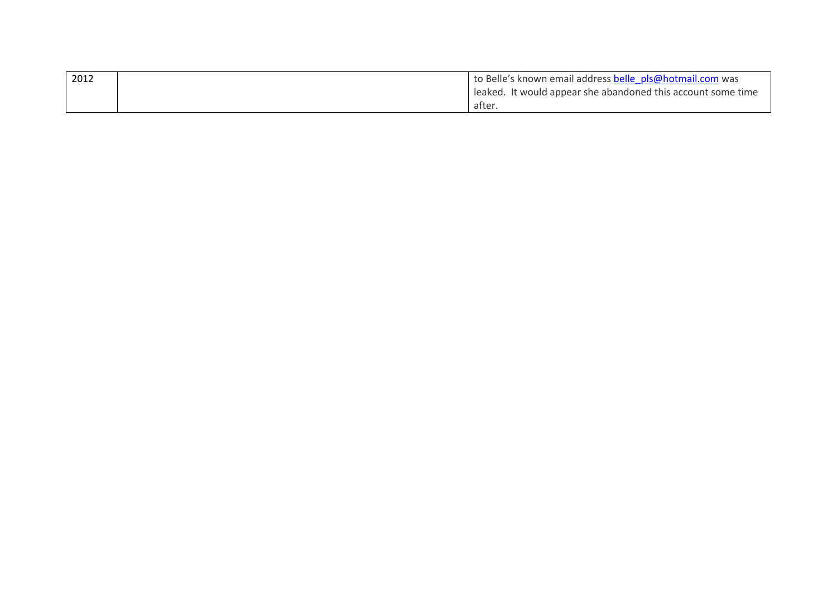| 2012 | to Belle's known email address belle pls@hotmail.com was     |  |
|------|--------------------------------------------------------------|--|
|      | leaked. It would appear she abandoned this account some time |  |
|      | after                                                        |  |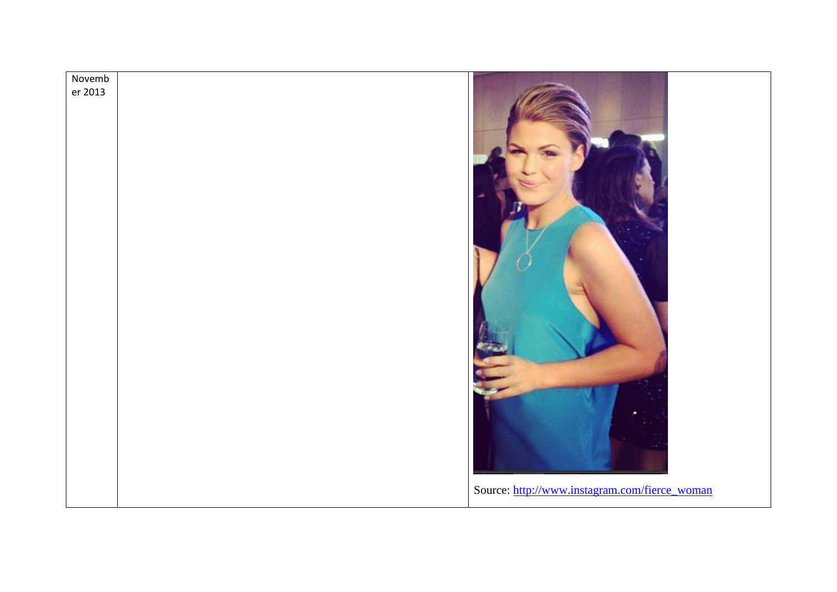| Novemb<br>er 2013 |                                               |  |
|-------------------|-----------------------------------------------|--|
|                   | Source: http://www.instagram.com/fierce_woman |  |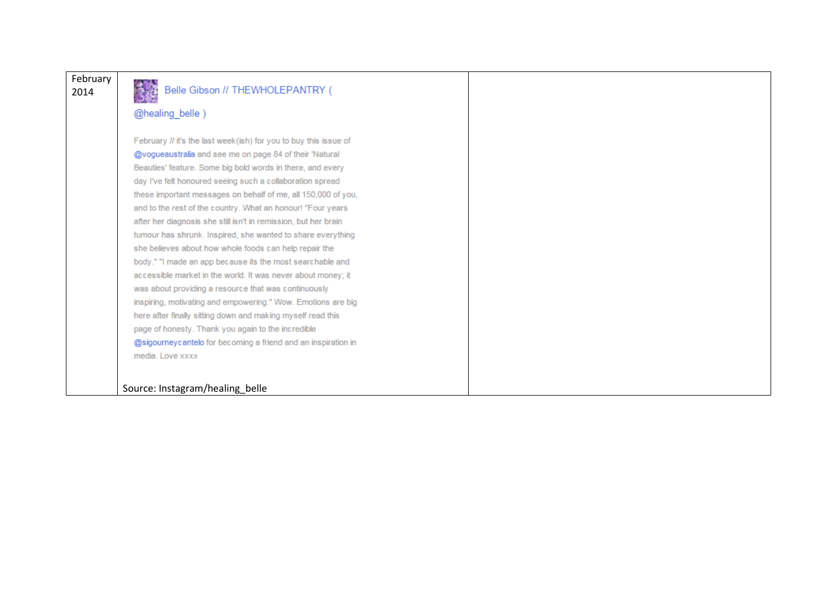| February<br>2014 | Belle Gibson // THEWHOLEPANTRY (                                 |  |
|------------------|------------------------------------------------------------------|--|
|                  | @healing belle)                                                  |  |
|                  | February // it's the last week(ish) for you to buy this issue of |  |
|                  | @vogueaustralia and see me on page 84 of their 'Natural          |  |
|                  | Beauties' feature. Some big bold words in there, and every       |  |
|                  | day I've felt honoured seeing such a collaboration spread        |  |
|                  | these important messages on behalf of me, all 150,000 of you,    |  |
|                  | and to the rest of the country. What an honour! "Four years      |  |
|                  | after her diagnosis she still isn't in remission, but her brain  |  |
|                  | tumour has shrunk. Inspired, she wanted to share everything      |  |
|                  | she believes about how whole foods can help repair the           |  |
|                  | body." "I made an app because its the most searchable and        |  |
|                  | accessible market in the world. It was never about money; it     |  |
|                  | was about providing a resource that was continuously             |  |
|                  | inspiring, motivating and empowering." Wow. Emotions are big     |  |
|                  | here after finally sitting down and making myself read this      |  |
|                  | page of honesty. Thank you again to the incredible               |  |
|                  | @sigourneycantelo for becoming a friend and an inspiration in    |  |
|                  | media. Love xxxx                                                 |  |
|                  |                                                                  |  |
|                  | Source: Instagram/healing_belle                                  |  |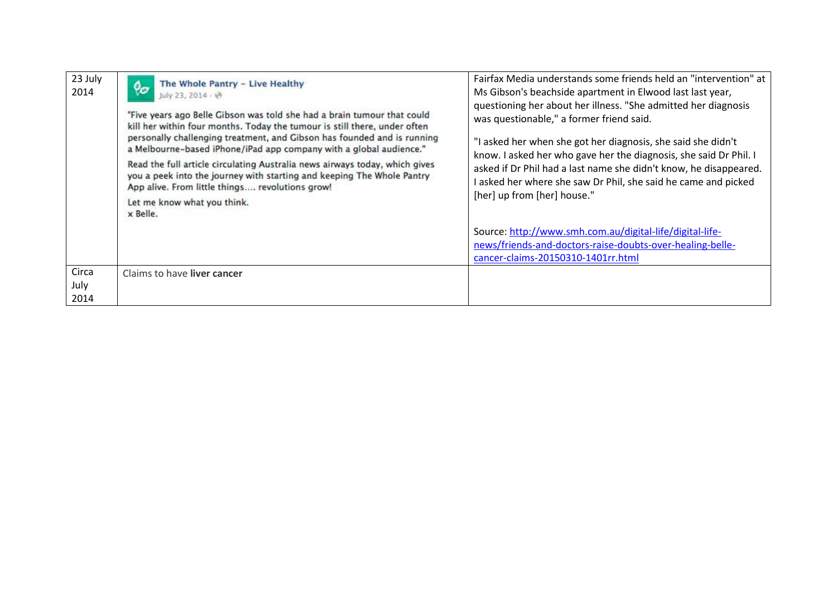| 23 July<br>2014       | The Whole Pantry - Live Healthy<br>9o<br>July 23, 2014 - @<br>"Five years ago Belle Gibson was told she had a brain tumour that could<br>kill her within four months. Today the tumour is still there, under often<br>personally challenging treatment, and Gibson has founded and is running<br>a Melbourne-based iPhone/iPad app company with a global audience."<br>Read the full article circulating Australia news airways today, which gives<br>you a peek into the journey with starting and keeping The Whole Pantry<br>App alive. From little things revolutions grow!<br>Let me know what you think.<br>x Belle. | Fairfax Media understands some friends held an "intervention" at<br>Ms Gibson's beachside apartment in Elwood last last year,<br>questioning her about her illness. "She admitted her diagnosis<br>was questionable," a former friend said.<br>"I asked her when she got her diagnosis, she said she didn't<br>know. I asked her who gave her the diagnosis, she said Dr Phil. I<br>asked if Dr Phil had a last name she didn't know, he disappeared.<br>I asked her where she saw Dr Phil, she said he came and picked<br>[her] up from [her] house."<br>Source: http://www.smh.com.au/digital-life/digital-life- |
|-----------------------|----------------------------------------------------------------------------------------------------------------------------------------------------------------------------------------------------------------------------------------------------------------------------------------------------------------------------------------------------------------------------------------------------------------------------------------------------------------------------------------------------------------------------------------------------------------------------------------------------------------------------|--------------------------------------------------------------------------------------------------------------------------------------------------------------------------------------------------------------------------------------------------------------------------------------------------------------------------------------------------------------------------------------------------------------------------------------------------------------------------------------------------------------------------------------------------------------------------------------------------------------------|
|                       |                                                                                                                                                                                                                                                                                                                                                                                                                                                                                                                                                                                                                            | news/friends-and-doctors-raise-doubts-over-healing-belle-<br>cancer-claims-20150310-1401rr.html                                                                                                                                                                                                                                                                                                                                                                                                                                                                                                                    |
| Circa<br>July<br>2014 | Claims to have liver cancer                                                                                                                                                                                                                                                                                                                                                                                                                                                                                                                                                                                                |                                                                                                                                                                                                                                                                                                                                                                                                                                                                                                                                                                                                                    |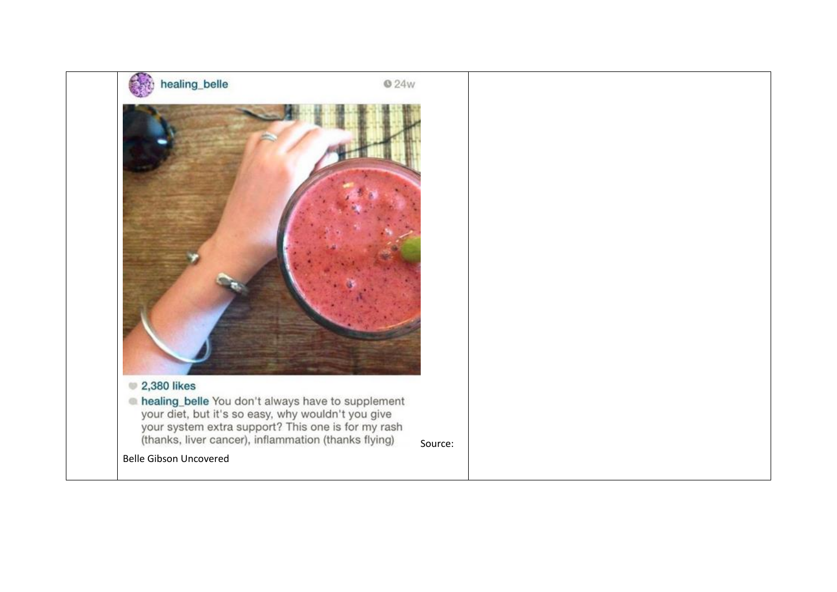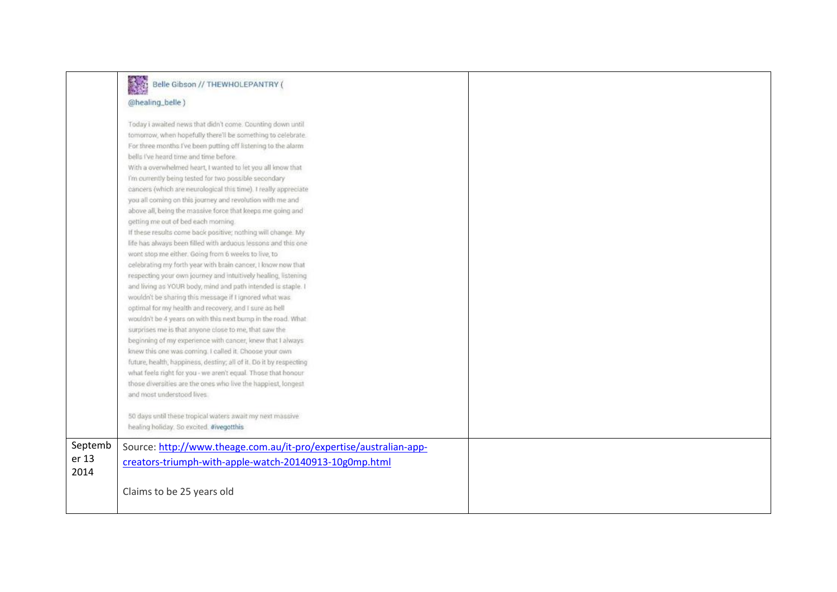|                          | Belle Gibson // THEWHOLEPANTRY (                                                                                                                                                                                                                                                                                                                                                                                                                                                                                                                                                                                                                                                                                                                                                                                                                                                                                                                                                                                                                                                                                                                                                                                                                                                                                                                                                                                                                                                                                                                                                                       |  |
|--------------------------|--------------------------------------------------------------------------------------------------------------------------------------------------------------------------------------------------------------------------------------------------------------------------------------------------------------------------------------------------------------------------------------------------------------------------------------------------------------------------------------------------------------------------------------------------------------------------------------------------------------------------------------------------------------------------------------------------------------------------------------------------------------------------------------------------------------------------------------------------------------------------------------------------------------------------------------------------------------------------------------------------------------------------------------------------------------------------------------------------------------------------------------------------------------------------------------------------------------------------------------------------------------------------------------------------------------------------------------------------------------------------------------------------------------------------------------------------------------------------------------------------------------------------------------------------------------------------------------------------------|--|
|                          | @healing_belle)                                                                                                                                                                                                                                                                                                                                                                                                                                                                                                                                                                                                                                                                                                                                                                                                                                                                                                                                                                                                                                                                                                                                                                                                                                                                                                                                                                                                                                                                                                                                                                                        |  |
|                          | Today i awaited news that didn't come. Counting down until<br>tomorrow, when hopefully there'll be something to celebrate.<br>For three months I've been putting off listening to the alarm<br>bells I've heard time and time before.<br>With a overwhelmed heart, I wanted to let you all know that<br>I'm currently being tested for two possible secondary<br>cancers (which are neurological this time). I really appreciate<br>you all coming on this journey and revolution with me and<br>above all, being the massive force that keeps me going and<br>getting me out of bed each morning.<br>If these results come back positive; nothing will change. My<br>life has always been filled with arduous lessons and this one<br>wont stop me either. Going from 6 weeks to live, to<br>celebrating my forth year with brain cancer, I know now that<br>respecting your own journey and intuitively healing, listening<br>and living as YOUR body, mind and path intended is staple. I<br>wouldn't be sharing this message if I ignored what was<br>optimal for my health and recovery, and I sure as hell<br>wouldn't be 4 years on with this next bump in the road. What<br>surprises me is that anyone close to me, that saw the<br>beginning of my experience with cancer, knew that I always<br>knew this one was coming. I called it. Choose your own<br>future, health, happiness, destiny; all of it. Do it by respecting<br>what feels right for you - we aren't equal. Those that honour<br>those diversities are the ones who live the happiest, longest<br>and most understood lives |  |
|                          | 50 days until these tropical waters await my next massive<br>healing holiday. So excited. #ivegotthis                                                                                                                                                                                                                                                                                                                                                                                                                                                                                                                                                                                                                                                                                                                                                                                                                                                                                                                                                                                                                                                                                                                                                                                                                                                                                                                                                                                                                                                                                                  |  |
| Septemb<br>er 13<br>2014 | Source: http://www.theage.com.au/it-pro/expertise/australian-app-<br>creators-triumph-with-apple-watch-20140913-10g0mp.html                                                                                                                                                                                                                                                                                                                                                                                                                                                                                                                                                                                                                                                                                                                                                                                                                                                                                                                                                                                                                                                                                                                                                                                                                                                                                                                                                                                                                                                                            |  |
|                          | Claims to be 25 years old                                                                                                                                                                                                                                                                                                                                                                                                                                                                                                                                                                                                                                                                                                                                                                                                                                                                                                                                                                                                                                                                                                                                                                                                                                                                                                                                                                                                                                                                                                                                                                              |  |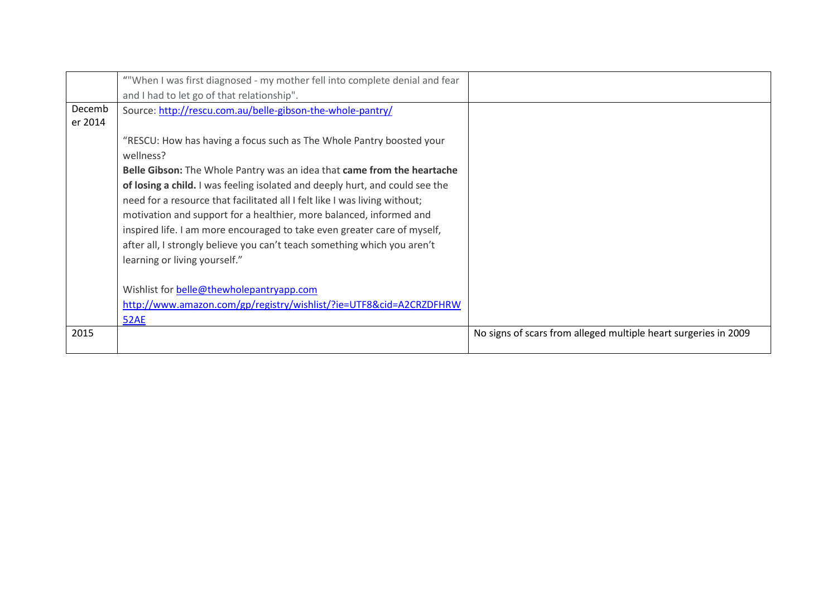|         | ""When I was first diagnosed - my mother fell into complete denial and fear  |                                                                 |
|---------|------------------------------------------------------------------------------|-----------------------------------------------------------------|
|         | and I had to let go of that relationship".                                   |                                                                 |
| Decemb  | Source: http://rescu.com.au/belle-gibson-the-whole-pantry/                   |                                                                 |
| er 2014 |                                                                              |                                                                 |
|         | "RESCU: How has having a focus such as The Whole Pantry boosted your         |                                                                 |
|         | wellness?                                                                    |                                                                 |
|         | Belle Gibson: The Whole Pantry was an idea that came from the heartache      |                                                                 |
|         | of losing a child. I was feeling isolated and deeply hurt, and could see the |                                                                 |
|         | need for a resource that facilitated all I felt like I was living without;   |                                                                 |
|         | motivation and support for a healthier, more balanced, informed and          |                                                                 |
|         | inspired life. I am more encouraged to take even greater care of myself,     |                                                                 |
|         | after all, I strongly believe you can't teach something which you aren't     |                                                                 |
|         | learning or living yourself."                                                |                                                                 |
|         |                                                                              |                                                                 |
|         | Wishlist for <b>belle@thewholepantryapp.com</b>                              |                                                                 |
|         | http://www.amazon.com/gp/registry/wishlist/?ie=UTF8&cid=A2CRZDFHRW           |                                                                 |
|         | 52AE                                                                         |                                                                 |
| 2015    |                                                                              | No signs of scars from alleged multiple heart surgeries in 2009 |
|         |                                                                              |                                                                 |